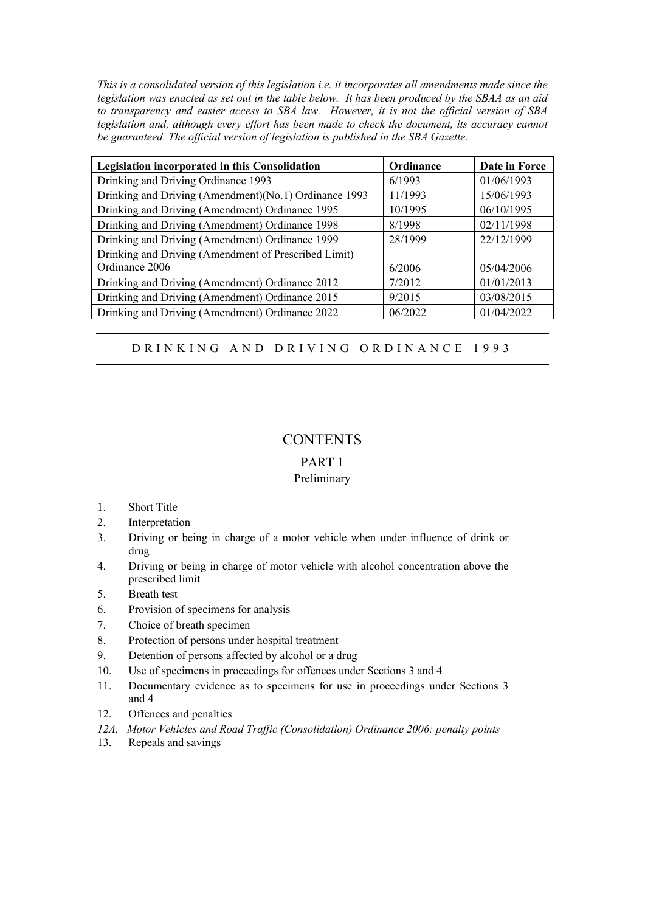*This is a consolidated version of this legislation i.e. it incorporates all amendments made since the legislation was enacted as set out in the table below. It has been produced by the SBAA as an aid to transparency and easier access to SBA law. However, it is not the official version of SBA legislation and, although every effort has been made to check the document, its accuracy cannot be guaranteed. The official version of legislation is published in the SBA Gazette.* 

| Legislation incorporated in this Consolidation        | Ordinance | Date in Force |
|-------------------------------------------------------|-----------|---------------|
| Drinking and Driving Ordinance 1993                   | 6/1993    | 01/06/1993    |
| Drinking and Driving (Amendment)(No.1) Ordinance 1993 | 11/1993   | 15/06/1993    |
| Drinking and Driving (Amendment) Ordinance 1995       | 10/1995   | 06/10/1995    |
| Drinking and Driving (Amendment) Ordinance 1998       | 8/1998    | 02/11/1998    |
| Drinking and Driving (Amendment) Ordinance 1999       | 28/1999   | 22/12/1999    |
| Drinking and Driving (Amendment of Prescribed Limit)  |           |               |
| Ordinance 2006                                        | 6/2006    | 05/04/2006    |
| Drinking and Driving (Amendment) Ordinance 2012       | 7/2012    | 01/01/2013    |
| Drinking and Driving (Amendment) Ordinance 2015       | 9/2015    | 03/08/2015    |
| Drinking and Driving (Amendment) Ordinance 2022       | 06/2022   | 01/04/2022    |

# D R I N K I N G A N D D R I V I N G O R D I N A N C E 1993

# **CONTENTS**

## PART 1

## Preliminary

- 1. Short Title
- 2. Interpretation
- 3. Driving or being in charge of a motor vehicle when under influence of drink or drug
- 4. Driving or being in charge of motor vehicle with alcohol concentration above the prescribed limit
- 5. Breath test
- 6. Provision of specimens for analysis
- 7. Choice of breath specimen
- 8. Protection of persons under hospital treatment
- 9. Detention of persons affected by alcohol or a drug
- 10. Use of specimens in proceedings for offences under Sections 3 and 4
- 11. Documentary evidence as to specimens for use in proceedings under Sections 3 and 4
- 12. Offences and penalties
- *12A. Motor Vehicles and Road Traffic (Consolidation) Ordinance 2006: penalty points*
- 13. Repeals and savings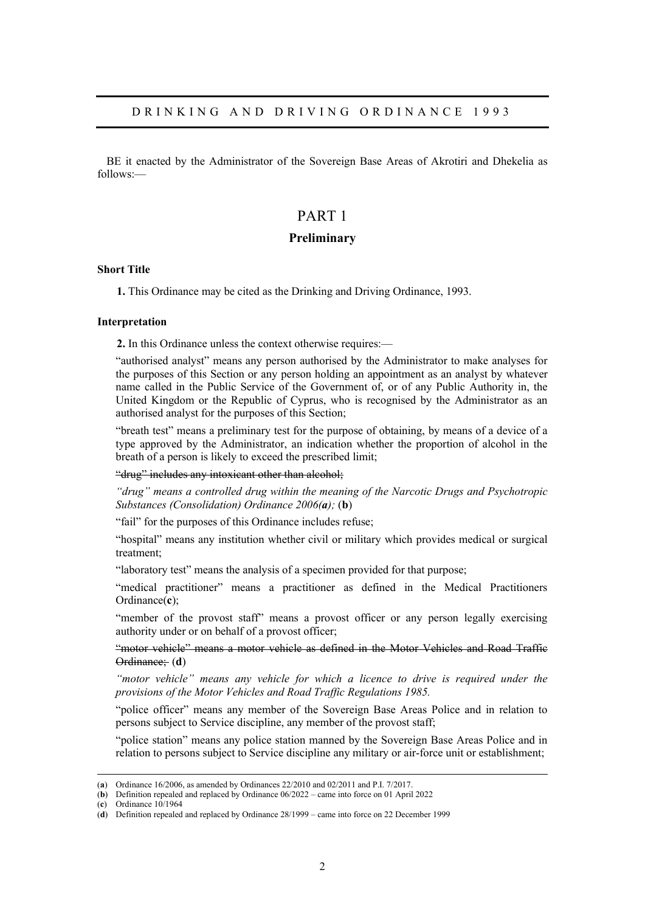BE it enacted by the Administrator of the Sovereign Base Areas of Akrotiri and Dhekelia as follows:—

# PART 1

## **Preliminary**

## **Short Title**

**1.** This Ordinance may be cited as the Drinking and Driving Ordinance, 1993.

#### **Interpretation**

**2.** In this Ordinance unless the context otherwise requires:—

"authorised analyst" means any person authorised by the Administrator to make analyses for the purposes of this Section or any person holding an appointment as an analyst by whatever name called in the Public Service of the Government of, or of any Public Authority in, the United Kingdom or the Republic of Cyprus, who is recognised by the Administrator as an authorised analyst for the purposes of this Section;

"breath test" means a preliminary test for the purpose of obtaining, by means of a device of a type approved by the Administrator, an indication whether the proportion of alcohol in the breath of a person is likely to exceed the prescribed limit;

#### "drug" includes any intoxicant other than alcohol;

*"drug" means a controlled drug within the meaning of the Narcotic Drugs and Psychotropic Substances (Consolidation) Ordinance 2006(a);* (**b**)

"fail" for the purposes of this Ordinance includes refuse;

"hospital" means any institution whether civil or military which provides medical or surgical treatment;

"laboratory test" means the analysis of a specimen provided for that purpose;

"medical practitioner" means a practitioner as defined in the Medical Practitioners Ordinance(**c**);

"member of the provost staff" means a provost officer or any person legally exercising authority under or on behalf of a provost officer;

"motor vehicle" means a motor vehicle as defined in the Motor Vehicles and Road Traffic Ordinance; (**d**)

*"motor vehicle" means any vehicle for which a licence to drive is required under the provisions of the Motor Vehicles and Road Traffic Regulations 1985.* 

"police officer" means any member of the Sovereign Base Areas Police and in relation to persons subject to Service discipline, any member of the provost staff;

"police station" means any police station manned by the Sovereign Base Areas Police and in relation to persons subject to Service discipline any military or air-force unit or establishment;

(**c**) Ordinance 10/1964

<sup>(</sup>**a**) Ordinance 16/2006, as amended by Ordinances 22/2010 and 02/2011 and P.I. 7/2017.

<sup>(</sup>**b**) Definition repealed and replaced by Ordinance 06/2022 – came into force on 01 April 2022

<sup>(</sup>**d**) Definition repealed and replaced by Ordinance 28/1999 – came into force on 22 December 1999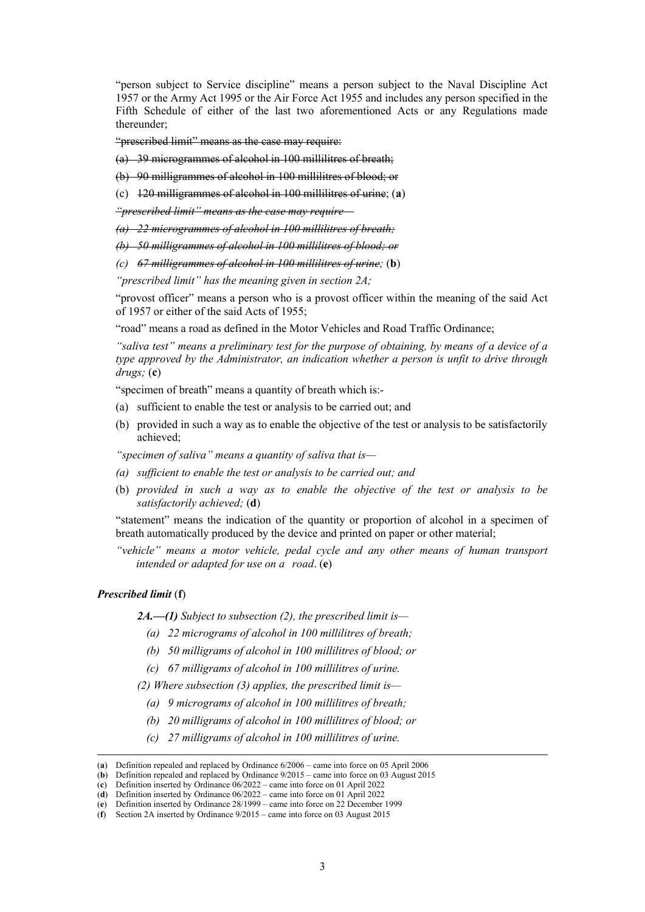"person subject to Service discipline" means a person subject to the Naval Discipline Act 1957 or the Army Act 1995 or the Air Force Act 1955 and includes any person specified in the Fifth Schedule of either of the last two aforementioned Acts or any Regulations made thereunder;

"prescribed limit" means as the case may require:

(a) 39 microgrammes of alcohol in 100 millilitres of breath;

(b) 90 milligrammes of alcohol in 100 millilitres of blood; or

(c) 120 milligrammes of alcohol in 100 millilitres of urine; (**a**)

*"prescribed limit" means as the case may require—* 

*(a) 22 microgrammes of alcohol in 100 millilitres of breath;* 

*(b) 50 milligrammes of alcohol in 100 millilitres of blood; or* 

*(c) 67 milligrammes of alcohol in 100 millilitres of urine;* (**b**)

*"prescribed limit" has the meaning given in section 2A;* 

"provost officer" means a person who is a provost officer within the meaning of the said Act of 1957 or either of the said Acts of 1955;

"road" means a road as defined in the Motor Vehicles and Road Traffic Ordinance;

*"saliva test" means a preliminary test for the purpose of obtaining, by means of a device of a type approved by the Administrator, an indication whether a person is unfit to drive through drugs;* (**c**)

"specimen of breath" means a quantity of breath which is:-

- (a) sufficient to enable the test or analysis to be carried out; and
- (b) provided in such a way as to enable the objective of the test or analysis to be satisfactorily achieved;

*"specimen of saliva" means a quantity of saliva that is—* 

- *(a) sufficient to enable the test or analysis to be carried out; and*
- (b) *provided in such a way as to enable the objective of the test or analysis to be satisfactorily achieved;* (**d**)

"statement" means the indication of the quantity or proportion of alcohol in a specimen of breath automatically produced by the device and printed on paper or other material;

*"vehicle" means a motor vehicle, pedal cycle and any other means of human transport intended or adapted for use on a road*. (**e**)

#### *Prescribed limit* (**f**)

*2A.—(1) Subject to subsection (2), the prescribed limit is—* 

- *(a) 22 micrograms of alcohol in 100 millilitres of breath;*
- *(b) 50 milligrams of alcohol in 100 millilitres of blood; or*
- *(c) 67 milligrams of alcohol in 100 millilitres of urine.*

*(2) Where subsection (3) applies, the prescribed limit is—* 

- *(a) 9 micrograms of alcohol in 100 millilitres of breath;*
- *(b) 20 milligrams of alcohol in 100 millilitres of blood; or*
- *(c) 27 milligrams of alcohol in 100 millilitres of urine.*

<sup>(</sup>**a**) Definition repealed and replaced by Ordinance 6/2006 – came into force on 05 April 2006

<sup>(</sup>**b**) Definition repealed and replaced by Ordinance 9/2015 – came into force on 03 August 2015

<sup>(</sup>**c**) Definition inserted by Ordinance 06/2022 – came into force on 01 April 2022

<sup>(</sup>**d**) Definition inserted by Ordinance 06/2022 – came into force on 01 April 2022 (**e**) Definition inserted by Ordinance 28/1999 – came into force on 22 December 1999

<sup>(</sup>**f**) Section 2A inserted by Ordinance 9/2015 – came into force on 03 August 2015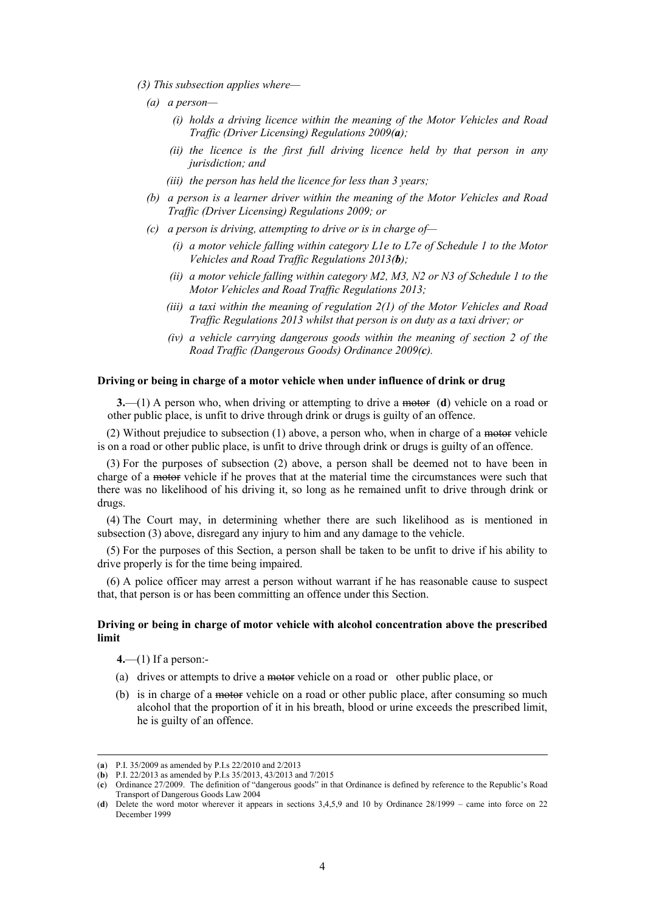- *(3) This subsection applies where—* 
	- *(a) a person—* 
		- *(i) holds a driving licence within the meaning of the Motor Vehicles and Road Traffic (Driver Licensing) Regulations 2009(a);*
		- *(ii) the licence is the first full driving licence held by that person in any jurisdiction; and*
		- *(iii) the person has held the licence for less than 3 years;*
	- *(b) a person is a learner driver within the meaning of the Motor Vehicles and Road Traffic (Driver Licensing) Regulations 2009; or*
	- *(c) a person is driving, attempting to drive or is in charge of—* 
		- *(i) a motor vehicle falling within category L1e to L7e of Schedule 1 to the Motor Vehicles and Road Traffic Regulations 2013(b);*
		- *(ii) a motor vehicle falling within category M2, M3, N2 or N3 of Schedule 1 to the Motor Vehicles and Road Traffic Regulations 2013;*
		- *(iii) a taxi within the meaning of regulation 2(1) of the Motor Vehicles and Road Traffic Regulations 2013 whilst that person is on duty as a taxi driver; or*
		- *(iv) a vehicle carrying dangerous goods within the meaning of section 2 of the Road Traffic (Dangerous Goods) Ordinance 2009(c).*

#### **Driving or being in charge of a motor vehicle when under influence of drink or drug**

**3.**—(1) A person who, when driving or attempting to drive a motor (d) vehicle on a road or other public place, is unfit to drive through drink or drugs is guilty of an offence.

(2) Without prejudice to subsection (1) above, a person who, when in charge of a motor vehicle is on a road or other public place, is unfit to drive through drink or drugs is guilty of an offence.

(3) For the purposes of subsection (2) above, a person shall be deemed not to have been in charge of a motor vehicle if he proves that at the material time the circumstances were such that there was no likelihood of his driving it, so long as he remained unfit to drive through drink or drugs.

(4) The Court may, in determining whether there are such likelihood as is mentioned in subsection (3) above, disregard any injury to him and any damage to the vehicle.

(5) For the purposes of this Section, a person shall be taken to be unfit to drive if his ability to drive properly is for the time being impaired.

(6) A police officer may arrest a person without warrant if he has reasonable cause to suspect that, that person is or has been committing an offence under this Section.

## **Driving or being in charge of motor vehicle with alcohol concentration above the prescribed limit**

**4.**—(1) If a person:-

- (a) drives or attempts to drive a motor vehicle on a road or other public place, or
- (b) is in charge of a motor vehicle on a road or other public place, after consuming so much alcohol that the proportion of it in his breath, blood or urine exceeds the prescribed limit, he is guilty of an offence.

<sup>(</sup>**a**) P.I. 35/2009 as amended by P.I.s 22/2010 and 2/2013

<sup>(</sup>**b**) P.I. 22/2013 as amended by P.I.s 35/2013, 43/2013 and 7/2015

<sup>(</sup>**c**) Ordinance 27/2009. The definition of "dangerous goods" in that Ordinance is defined by reference to the Republic's Road Transport of Dangerous Goods Law 2004

<sup>(</sup>**d**) Delete the word motor wherever it appears in sections 3,4,5,9 and 10 by Ordinance 28/1999 – came into force on 22 December 1999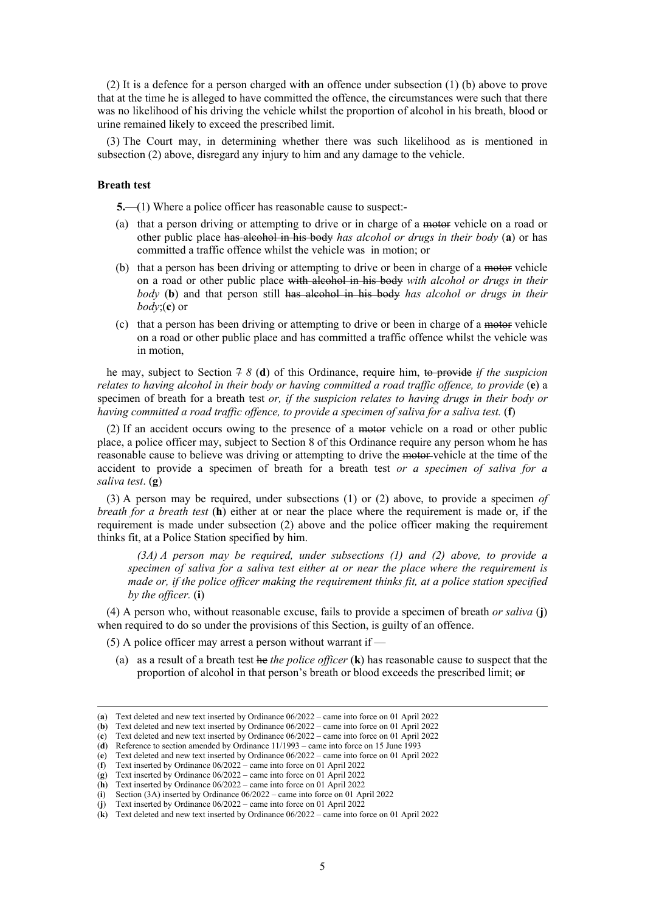(2) It is a defence for a person charged with an offence under subsection (1) (b) above to prove that at the time he is alleged to have committed the offence, the circumstances were such that there was no likelihood of his driving the vehicle whilst the proportion of alcohol in his breath, blood or urine remained likely to exceed the prescribed limit.

(3) The Court may, in determining whether there was such likelihood as is mentioned in subsection (2) above, disregard any injury to him and any damage to the vehicle.

## **Breath test**

**5.**—(1) Where a police officer has reasonable cause to suspect:-

- (a) that a person driving or attempting to drive or in charge of a motor vehicle on a road or other public place has alcohol in his body *has alcohol or drugs in their body* (**a**) or has committed a traffic offence whilst the vehicle was in motion; or
- (b) that a person has been driving or attempting to drive or been in charge of a motor vehicle on a road or other public place with alcohol in his body *with alcohol or drugs in their body* (**b**) and that person still has alcohol in his body *has alcohol or drugs in their body*;(**c**) or
- (c) that a person has been driving or attempting to drive or been in charge of a motor vehicle on a road or other public place and has committed a traffic offence whilst the vehicle was in motion,

he may, subject to Section 7 *8* (**d**) of this Ordinance, require him, to provide *if the suspicion relates to having alcohol in their body or having committed a road traffic offence, to provide (e) a* specimen of breath for a breath test *or, if the suspicion relates to having drugs in their body or having committed a road traffic offence, to provide a specimen of saliva for a saliva test.* (**f**)

(2) If an accident occurs owing to the presence of a motor vehicle on a road or other public place, a police officer may, subject to Section 8 of this Ordinance require any person whom he has reasonable cause to believe was driving or attempting to drive the motor-vehicle at the time of the accident to provide a specimen of breath for a breath test *or a specimen of saliva for a saliva test*. (**g**)

(3) A person may be required, under subsections (1) or (2) above, to provide a specimen *of breath for a breath test* (**h**) either at or near the place where the requirement is made or, if the requirement is made under subsection (2) above and the police officer making the requirement thinks fit, at a Police Station specified by him.

*(3A) A person may be required, under subsections (1) and (2) above, to provide a specimen of saliva for a saliva test either at or near the place where the requirement is made or, if the police officer making the requirement thinks fit, at a police station specified by the officer.* (**i**)

(4) A person who, without reasonable excuse, fails to provide a specimen of breath *or saliva* (**j**) when required to do so under the provisions of this Section, is guilty of an offence.

(5) A police officer may arrest a person without warrant if —

(a) as a result of a breath test he *the police officer* (**k**) has reasonable cause to suspect that the proportion of alcohol in that person's breath or blood exceeds the prescribed limit;  $\theta$ 

<sup>(</sup>**a**) Text deleted and new text inserted by Ordinance 06/2022 – came into force on 01 April 2022

<sup>(</sup>**b**) Text deleted and new text inserted by Ordinance 06/2022 – came into force on 01 April 2022

<sup>(</sup>**c**) Text deleted and new text inserted by Ordinance 06/2022 – came into force on 01 April 2022

<sup>(</sup>**d**) Reference to section amended by Ordinance 11/1993 – came into force on 15 June 1993 (**e**) Text deleted and new text inserted by Ordinance 06/2022 – came into force on 01 April 2022

<sup>(</sup>**f**) Text inserted by Ordinance 06/2022 – came into force on 01 April 2022

<sup>(</sup>**g**) Text inserted by Ordinance 06/2022 – came into force on 01 April 2022

<sup>(</sup>**h**) Text inserted by Ordinance 06/2022 – came into force on 01 April 2022

<sup>(</sup>**i**) Section (3A) inserted by Ordinance 06/2022 – came into force on 01 April 2022

<sup>(</sup>**j**) Text inserted by Ordinance 06/2022 – came into force on 01 April 2022

<sup>(</sup>**k**) Text deleted and new text inserted by Ordinance 06/2022 – came into force on 01 April 2022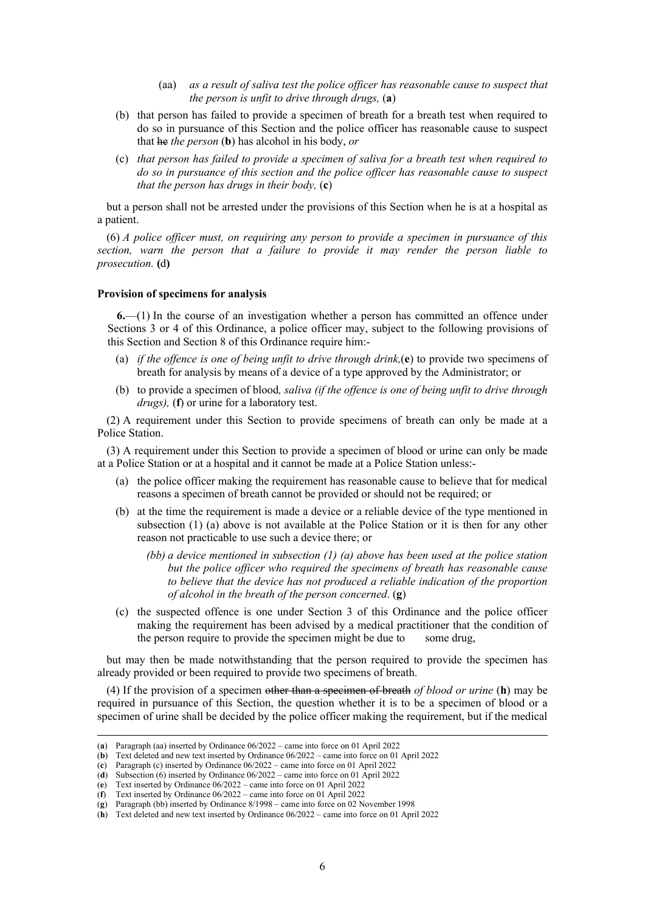- (aa) *as a result of saliva test the police officer has reasonable cause to suspect that the person is unfit to drive through drugs,* (**a**)
- (b) that person has failed to provide a specimen of breath for a breath test when required to do so in pursuance of this Section and the police officer has reasonable cause to suspect that he *the person* (**b**) has alcohol in his body, *or*
- (c) *that person has failed to provide a specimen of saliva for a breath test when required to do so in pursuance of this section and the police officer has reasonable cause to suspect that the person has drugs in their body,* (**c**)

but a person shall not be arrested under the provisions of this Section when he is at a hospital as a patient.

(6) *A police officer must, on requiring any person to provide a specimen in pursuance of this section, warn the person that a failure to provide it may render the person liable to prosecution.* **(**d**)** 

#### **Provision of specimens for analysis**

**6.**—(1) In the course of an investigation whether a person has committed an offence under Sections 3 or 4 of this Ordinance, a police officer may, subject to the following provisions of this Section and Section 8 of this Ordinance require him:-

- (a) *if the offence is one of being unfit to drive through drink,*(**e**) to provide two specimens of breath for analysis by means of a device of a type approved by the Administrator; or
- (b) to provide a specimen of blood*, saliva (if the offence is one of being unfit to drive through drugs),* (**f**) or urine for a laboratory test.

(2) A requirement under this Section to provide specimens of breath can only be made at a Police Station.

(3) A requirement under this Section to provide a specimen of blood or urine can only be made at a Police Station or at a hospital and it cannot be made at a Police Station unless:-

- (a) the police officer making the requirement has reasonable cause to believe that for medical reasons a specimen of breath cannot be provided or should not be required; or
- (b) at the time the requirement is made a device or a reliable device of the type mentioned in subsection (1) (a) above is not available at the Police Station or it is then for any other reason not practicable to use such a device there; or
	- *(bb) a device mentioned in subsection (1) (a) above has been used at the police station but the police officer who required the specimens of breath has reasonable cause to believe that the device has not produced a reliable indication of the proportion of alcohol in the breath of the person concerned*. (**g**)
- (c) the suspected offence is one under Section 3 of this Ordinance and the police officer making the requirement has been advised by a medical practitioner that the condition of the person require to provide the specimen might be due to some drug,

but may then be made notwithstanding that the person required to provide the specimen has already provided or been required to provide two specimens of breath.

(4) If the provision of a specimen other than a specimen of breath *of blood or urine* (**h**) may be required in pursuance of this Section, the question whether it is to be a specimen of blood or a specimen of urine shall be decided by the police officer making the requirement, but if the medical

<sup>(</sup>**a**) Paragraph (aa) inserted by Ordinance 06/2022 – came into force on 01 April 2022

<sup>(</sup>**b**) Text deleted and new text inserted by Ordinance 06/2022 – came into force on 01 April 2022

<sup>(</sup>**c**) Paragraph (c) inserted by Ordinance 06/2022 – came into force on 01 April 2022

<sup>(</sup>**d**) Subsection (6) inserted by Ordinance 06/2022 – came into force on 01 April 2022

<sup>(</sup>**e**) Text inserted by Ordinance 06/2022 – came into force on 01 April 2022

<sup>(</sup>**f**) Text inserted by Ordinance 06/2022 – came into force on 01 April 2022 (**g**) Paragraph (bb) inserted by Ordinance 8/1998 – came into force on 02 November 1998

<sup>(</sup>**h**) Text deleted and new text inserted by Ordinance 06/2022 – came into force on 01 April 2022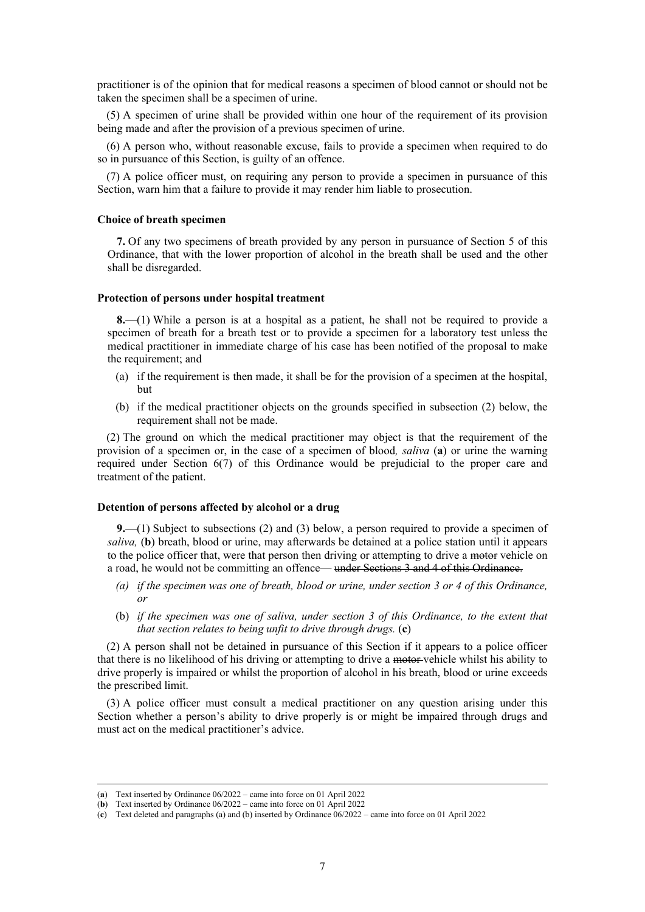practitioner is of the opinion that for medical reasons a specimen of blood cannot or should not be taken the specimen shall be a specimen of urine.

(5) A specimen of urine shall be provided within one hour of the requirement of its provision being made and after the provision of a previous specimen of urine.

(6) A person who, without reasonable excuse, fails to provide a specimen when required to do so in pursuance of this Section, is guilty of an offence.

(7) A police officer must, on requiring any person to provide a specimen in pursuance of this Section, warn him that a failure to provide it may render him liable to prosecution.

### **Choice of breath specimen**

**7.** Of any two specimens of breath provided by any person in pursuance of Section 5 of this Ordinance, that with the lower proportion of alcohol in the breath shall be used and the other shall be disregarded.

#### **Protection of persons under hospital treatment**

**8.**—(1) While a person is at a hospital as a patient, he shall not be required to provide a specimen of breath for a breath test or to provide a specimen for a laboratory test unless the medical practitioner in immediate charge of his case has been notified of the proposal to make the requirement; and

- (a) if the requirement is then made, it shall be for the provision of a specimen at the hospital, but
- (b) if the medical practitioner objects on the grounds specified in subsection (2) below, the requirement shall not be made.

(2) The ground on which the medical practitioner may object is that the requirement of the provision of a specimen or, in the case of a specimen of blood*, saliva* (**a**) or urine the warning required under Section 6(7) of this Ordinance would be prejudicial to the proper care and treatment of the patient.

#### **Detention of persons affected by alcohol or a drug**

**9.**—(1) Subject to subsections (2) and (3) below, a person required to provide a specimen of *saliva,* (**b**) breath, blood or urine, may afterwards be detained at a police station until it appears to the police officer that, were that person then driving or attempting to drive a motor vehicle on a road, he would not be committing an offence— under Sections 3 and 4 of this Ordinance.

- *(a) if the specimen was one of breath, blood or urine, under section 3 or 4 of this Ordinance, or*
- (b) *if the specimen was one of saliva, under section 3 of this Ordinance, to the extent that that section relates to being unfit to drive through drugs.* (**c**)

(2) A person shall not be detained in pursuance of this Section if it appears to a police officer that there is no likelihood of his driving or attempting to drive a motor vehicle whilst his ability to drive properly is impaired or whilst the proportion of alcohol in his breath, blood or urine exceeds the prescribed limit.

(3) A police officer must consult a medical practitioner on any question arising under this Section whether a person's ability to drive properly is or might be impaired through drugs and must act on the medical practitioner's advice.

<sup>(</sup>**a**) Text inserted by Ordinance 06/2022 – came into force on 01 April 2022

<sup>(</sup>**b**) Text inserted by Ordinance 06/2022 – came into force on 01 April 2022

<sup>(</sup>**c**) Text deleted and paragraphs (a) and (b) inserted by Ordinance 06/2022 – came into force on 01 April 2022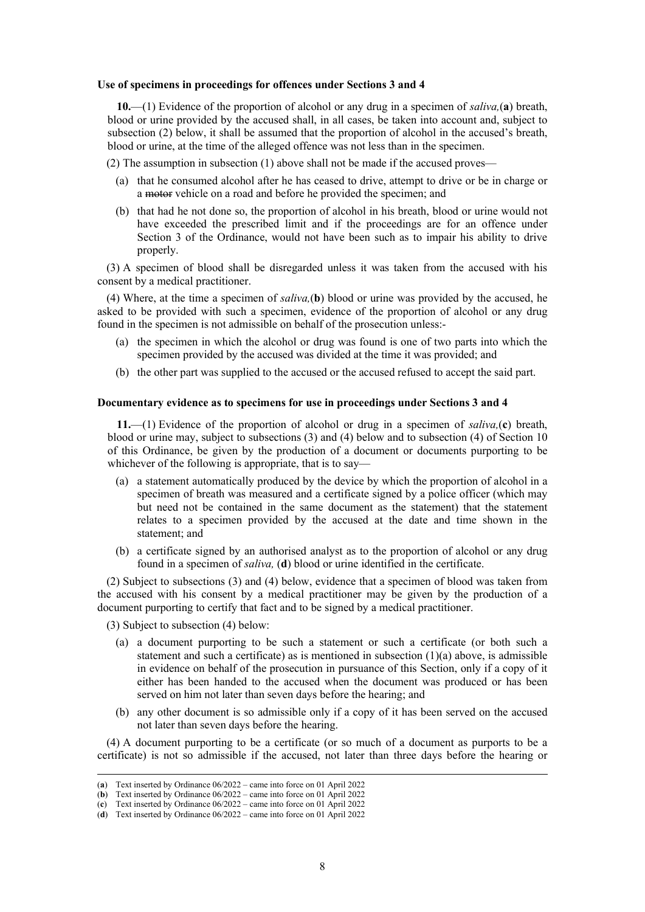#### **Use of specimens in proceedings for offences under Sections 3 and 4**

**10.**—(1) Evidence of the proportion of alcohol or any drug in a specimen of *saliva,*(**a**) breath, blood or urine provided by the accused shall, in all cases, be taken into account and, subject to subsection (2) below, it shall be assumed that the proportion of alcohol in the accused's breath, blood or urine, at the time of the alleged offence was not less than in the specimen.

(2) The assumption in subsection (1) above shall not be made if the accused proves—

- (a) that he consumed alcohol after he has ceased to drive, attempt to drive or be in charge or a motor vehicle on a road and before he provided the specimen; and
- (b) that had he not done so, the proportion of alcohol in his breath, blood or urine would not have exceeded the prescribed limit and if the proceedings are for an offence under Section 3 of the Ordinance, would not have been such as to impair his ability to drive properly.

(3) A specimen of blood shall be disregarded unless it was taken from the accused with his consent by a medical practitioner.

(4) Where, at the time a specimen of *saliva,*(**b**) blood or urine was provided by the accused, he asked to be provided with such a specimen, evidence of the proportion of alcohol or any drug found in the specimen is not admissible on behalf of the prosecution unless:-

- (a) the specimen in which the alcohol or drug was found is one of two parts into which the specimen provided by the accused was divided at the time it was provided; and
- (b) the other part was supplied to the accused or the accused refused to accept the said part.

### **Documentary evidence as to specimens for use in proceedings under Sections 3 and 4**

**11.**—(1) Evidence of the proportion of alcohol or drug in a specimen of *saliva,*(**c**) breath, blood or urine may, subject to subsections (3) and (4) below and to subsection (4) of Section 10 of this Ordinance, be given by the production of a document or documents purporting to be whichever of the following is appropriate, that is to say—

- (a) a statement automatically produced by the device by which the proportion of alcohol in a specimen of breath was measured and a certificate signed by a police officer (which may but need not be contained in the same document as the statement) that the statement relates to a specimen provided by the accused at the date and time shown in the statement; and
- (b) a certificate signed by an authorised analyst as to the proportion of alcohol or any drug found in a specimen of *saliva,* (**d**) blood or urine identified in the certificate.

(2) Subject to subsections (3) and (4) below, evidence that a specimen of blood was taken from the accused with his consent by a medical practitioner may be given by the production of a document purporting to certify that fact and to be signed by a medical practitioner.

(3) Subject to subsection (4) below:

- (a) a document purporting to be such a statement or such a certificate (or both such a statement and such a certificate) as is mentioned in subsection  $(1)(a)$  above, is admissible in evidence on behalf of the prosecution in pursuance of this Section, only if a copy of it either has been handed to the accused when the document was produced or has been served on him not later than seven days before the hearing; and
- (b) any other document is so admissible only if a copy of it has been served on the accused not later than seven days before the hearing.

(4) A document purporting to be a certificate (or so much of a document as purports to be a certificate) is not so admissible if the accused, not later than three days before the hearing or

<sup>(</sup>**a**) Text inserted by Ordinance 06/2022 – came into force on 01 April 2022

<sup>(</sup>**b**) Text inserted by Ordinance 06/2022 – came into force on 01 April 2022

<sup>(</sup>**c**) Text inserted by Ordinance 06/2022 – came into force on 01 April 2022

<sup>(</sup>**d**) Text inserted by Ordinance 06/2022 – came into force on 01 April 2022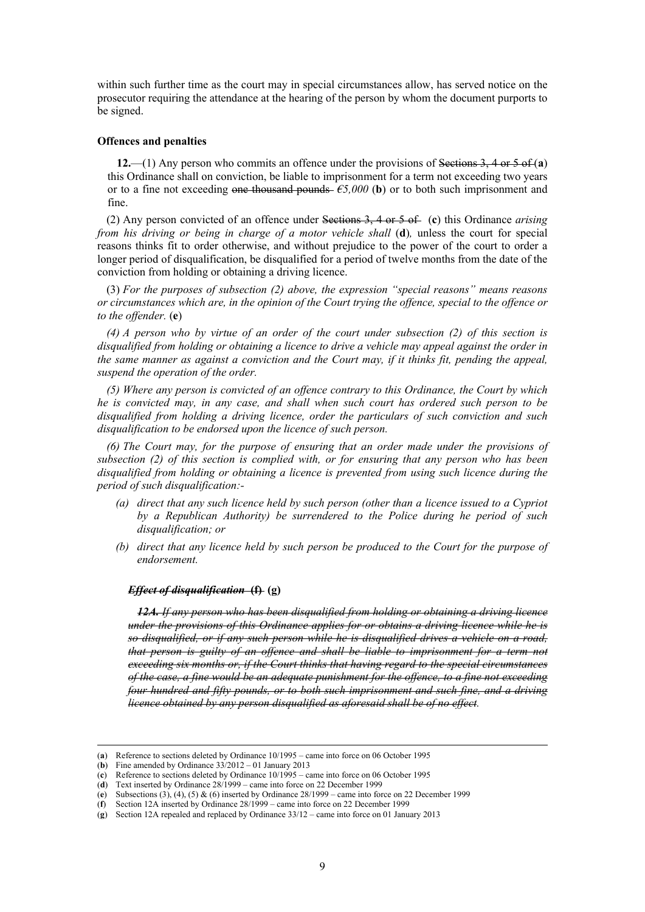within such further time as the court may in special circumstances allow, has served notice on the prosecutor requiring the attendance at the hearing of the person by whom the document purports to be signed.

#### **Offences and penalties**

**12.**—(1) Any person who commits an offence under the provisions of Sections 3, 4 or 5 of (**a**) this Ordinance shall on conviction, be liable to imprisonment for a term not exceeding two years or to a fine not exceeding one thousand pounds  $\epsilon$ *5,000* (**b**) or to both such imprisonment and fine.

(2) Any person convicted of an offence under Sections 3, 4 or 5 of (**c**) this Ordinance *arising from his driving or being in charge of a motor vehicle shall* (**d**), unless the court for special reasons thinks fit to order otherwise, and without prejudice to the power of the court to order a longer period of disqualification, be disqualified for a period of twelve months from the date of the conviction from holding or obtaining a driving licence.

(3) *For the purposes of subsection (2) above, the expression "special reasons" means reasons or circumstances which are, in the opinion of the Court trying the offence, special to the offence or to the offender.* (**e**)

*(4) A person who by virtue of an order of the court under subsection (2) of this section is disqualified from holding or obtaining a licence to drive a vehicle may appeal against the order in the same manner as against a conviction and the Court may, if it thinks fit, pending the appeal, suspend the operation of the order.* 

*(5) Where any person is convicted of an offence contrary to this Ordinance, the Court by which he is convicted may, in any case, and shall when such court has ordered such person to be disqualified from holding a driving licence, order the particulars of such conviction and such disqualification to be endorsed upon the licence of such person.* 

*(6) The Court may, for the purpose of ensuring that an order made under the provisions of subsection (2) of this section is complied with, or for ensuring that any person who has been disqualified from holding or obtaining a licence is prevented from using such licence during the period of such disqualification:-* 

- *(a) direct that any such licence held by such person (other than a licence issued to a Cypriot by a Republican Authority) be surrendered to the Police during he period of such disqualification; or*
- *(b) direct that any licence held by such person be produced to the Court for the purpose of endorsement.*

## *Effect of disqualification* **(f) (g)**

*12A. If any person who has been disqualified from holding or obtaining a driving licence under the provisions of this Ordinance applies for or obtains a driving licence while he is so disqualified, or if any such person while he is disqualified drives a vehicle on a road, that person is guilty of an offence and shall be liable to imprisonment for a term not exceeding six months or, if the Court thinks that having regard to the special circumstances of the case, a fine would be an adequate punishment for the offence, to a fine not exceeding four hundred and fifty pounds, or to both such imprisonment and such fine, and a driving licence obtained by any person disqualified as aforesaid shall be of no effect.*

<sup>(</sup>**a**) Reference to sections deleted by Ordinance 10/1995 – came into force on 06 October 1995

<sup>(</sup>**b**) Fine amended by Ordinance 33/2012 – 01 January 2013

<sup>(</sup>**c**) Reference to sections deleted by Ordinance 10/1995 – came into force on 06 October 1995

<sup>(</sup>**d**) Text inserted by Ordinance 28/1999 – came into force on 22 December 1999

<sup>(</sup>**e**) Subsections (3), (4), (5) & (6) inserted by Ordinance 28/1999 – came into force on 22 December 1999

<sup>(</sup>**f**) Section 12A inserted by Ordinance 28/1999 – came into force on 22 December 1999

<sup>(</sup>**g**) Section 12A repealed and replaced by Ordinance 33/12 – came into force on 01 January 2013